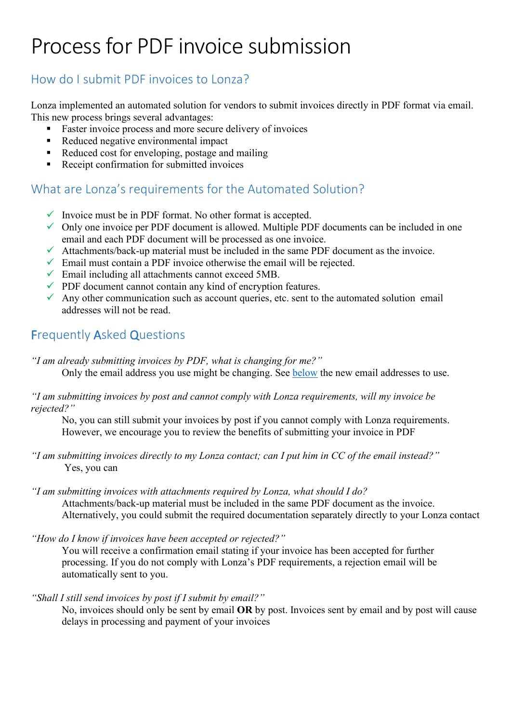# Process for PDF invoice submission

### How do I submit PDF invoices to Lonza?

Lonza implemented an automated solution for vendors to submit invoices directly in PDF format via email. This new process brings several advantages:

- Faster invoice process and more secure delivery of invoices
- Reduced negative environmental impact
- Reduced cost for enveloping, postage and mailing
- Receipt confirmation for submitted invoices

## What are Lonza's requirements for the Automated Solution?

- $\checkmark$  Invoice must be in PDF format. No other format is accepted.
- $\checkmark$  Only one invoice per PDF document is allowed. Multiple PDF documents can be included in one email and each PDF document will be processed as one invoice.
- $\checkmark$  Attachments/back-up material must be included in the same PDF document as the invoice.
- $\checkmark$  Email must contain a PDF invoice otherwise the email will be rejected.
- $\checkmark$  Email including all attachments cannot exceed 5MB.
- $\checkmark$  PDF document cannot contain any kind of encryption features.
- $\checkmark$  Any other communication such as account queries, etc. sent to the automated solution email addresses will not be read.

#### Frequently Asked Questions

*"I am already submitting invoices by PDF, what is changing for me?"*

Only the email address you use might be changing. See [below](#page-1-0) the new email addresses to use.

*"I am submitting invoices by post and cannot comply with Lonza requirements, will my invoice be rejected?"* 

No, you can still submit your invoices by post if you cannot comply with Lonza requirements. However, we encourage you to review the benefits of submitting your invoice in PDF

*"I am submitting invoices directly to my Lonza contact; can I put him in CC of the email instead?"* Yes, you can

*"I am submitting invoices with attachments required by Lonza, what should I do?* Attachments/back-up material must be included in the same PDF document as the invoice. Alternatively, you could submit the required documentation separately directly to your Lonza contact

*"How do I know if invoices have been accepted or rejected?"*

You will receive a confirmation email stating if your invoice has been accepted for further processing. If you do not comply with Lonza's PDF requirements, a rejection email will be automatically sent to you.

*"Shall I still send invoices by post if I submit by email?"*

No, invoices should only be sent by email **OR** by post. Invoices sent by email and by post will cause delays in processing and payment of your invoices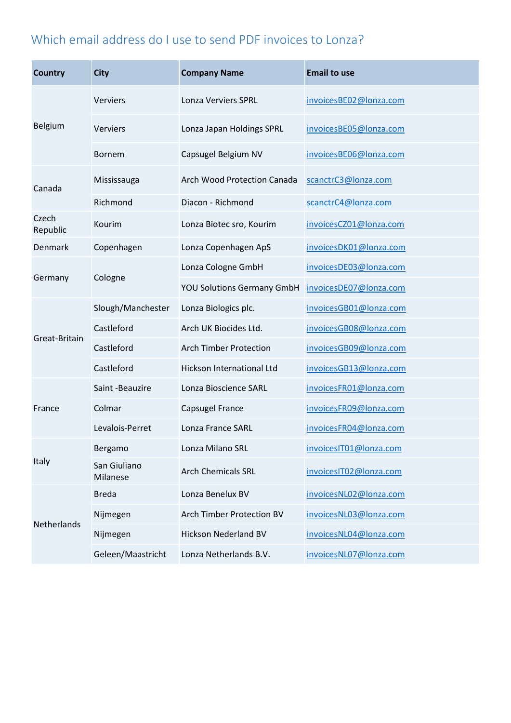# <span id="page-1-0"></span>Which email address do I use to send PDF invoices to Lonza?

| <b>Country</b>    | <b>City</b>              | <b>Company Name</b>                                | <b>Email to use</b>    |
|-------------------|--------------------------|----------------------------------------------------|------------------------|
| Belgium           | <b>Verviers</b>          | <b>Lonza Verviers SPRL</b>                         | invoicesBE02@lonza.com |
|                   | <b>Verviers</b>          | Lonza Japan Holdings SPRL                          | invoicesBE05@lonza.com |
|                   | <b>Bornem</b>            | Capsugel Belgium NV                                | invoicesBE06@lonza.com |
| Canada            | Mississauga              | Arch Wood Protection Canada                        | scanctrC3@lonza.com    |
|                   | Richmond                 | Diacon - Richmond                                  | scanctrC4@lonza.com    |
| Czech<br>Republic | Kourim                   | Lonza Biotec sro, Kourim<br>invoicesCZ01@lonza.com |                        |
| Denmark           | Copenhagen               | Lonza Copenhagen ApS<br>invoicesDK01@lonza.com     |                        |
| Germany           | Cologne                  | Lonza Cologne GmbH                                 | invoicesDE03@lonza.com |
|                   |                          | <b>YOU Solutions Germany GmbH</b>                  | invoicesDE07@lonza.com |
| Great-Britain     | Slough/Manchester        | Lonza Biologics plc.                               | invoicesGB01@lonza.com |
|                   | Castleford               | Arch UK Biocides Ltd.                              | invoicesGB08@lonza.com |
|                   | Castleford               | <b>Arch Timber Protection</b>                      | invoicesGB09@lonza.com |
|                   | Castleford               | Hickson International Ltd                          | invoicesGB13@lonza.com |
| France            | Saint -Beauzire          | Lonza Bioscience SARL                              | invoicesFR01@lonza.com |
|                   | Colmar                   | Capsugel France                                    | invoicesFR09@lonza.com |
|                   | Levalois-Perret          | Lonza France SARL                                  | invoicesFR04@lonza.com |
| Italy             | Bergamo                  | Lonza Milano SRL                                   | invoicesIT01@lonza.com |
|                   | San Giuliano<br>Milanese | <b>Arch Chemicals SRL</b>                          | invoicesIT02@lonza.com |
| Netherlands       | <b>Breda</b>             | Lonza Benelux BV                                   | invoicesNL02@lonza.com |
|                   | Nijmegen                 | Arch Timber Protection BV                          | invoicesNL03@lonza.com |
|                   | Nijmegen                 | Hickson Nederland BV                               | invoicesNL04@lonza.com |
|                   | Geleen/Maastricht        | Lonza Netherlands B.V.                             | invoicesNL07@lonza.com |